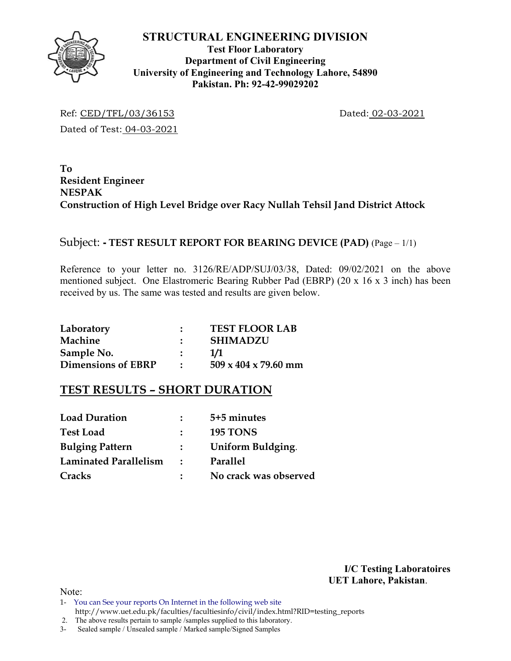

## **Test Floor Laboratory Department of Civil Engineering University of Engineering and Technology Lahore, 54890 Pakistan. Ph: 92-42-99029202**

Ref: CED/TFL/03/36153 Dated: 02-03-2021 Dated of Test: 04-03-2021

**To Resident Engineer NESPAK Construction of High Level Bridge over Racy Nullah Tehsil Jand District Attock** 

# Subject: **- TEST RESULT REPORT FOR BEARING DEVICE (PAD)** (Page – 1/1)

Reference to your letter no. 3126/RE/ADP/SUJ/03/38, Dated: 09/02/2021 on the above mentioned subject. One Elastromeric Bearing Rubber Pad (EBRP) (20 x 16 x 3 inch) has been received by us. The same was tested and results are given below.

| Laboratory                | <b>TEST FLOOR LAB</b>            |
|---------------------------|----------------------------------|
| Machine                   | <b>SHIMADZU</b>                  |
| Sample No.                | 1/1                              |
| <b>Dimensions of EBRP</b> | $509 \times 404 \times 79.60$ mm |

# **TEST RESULTS – SHORT DURATION**

| <b>Load Duration</b>   |                             | 5+5 minutes           |
|------------------------|-----------------------------|-----------------------|
| <b>Test Load</b>       |                             | <b>195 TONS</b>       |
| <b>Bulging Pattern</b> | $\mathcal{L}$               | Uniform Buldging.     |
| Laminated Parallelism  | $\mathcal{L} = \mathcal{L}$ | Parallel              |
| Cracks                 |                             | No crack was observed |

**I/C Testing Laboratoires UET Lahore, Pakistan**.

Note:

1- You can See your reports On Internet in the following web site http://www.uet.edu.pk/faculties/facultiesinfo/civil/index.html?RID=testing\_reports

 <sup>2.</sup> The above results pertain to sample /samples supplied to this laboratory.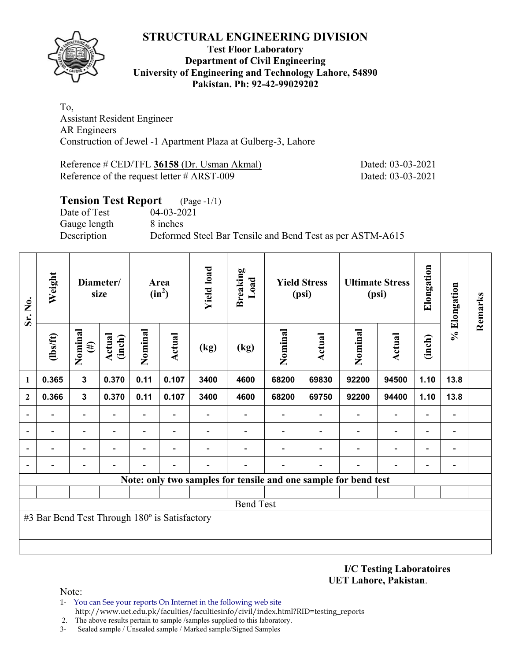

### **Test Floor Laboratory Department of Civil Engineering University of Engineering and Technology Lahore, 54890 Pakistan. Ph: 92-42-99029202**

To, Assistant Resident Engineer AR Engineers Construction of Jewel -1 Apartment Plaza at Gulberg-3, Lahore

Reference # CED/TFL **36158** (Dr. Usman Akmal) Dated: 03-03-2021 Reference of the request letter # ARST-009 Dated: 03-03-2021

## **Tension Test Report** (Page -1/1) Date of Test 04-03-2021 Gauge length 8 inches Description Deformed Steel Bar Tensile and Bend Test as per ASTM-A615

| Sr. No.      | Weight                                        |                          | Diameter/<br>size       |                          | Area<br>$(in^2)$         | <b>Yield load</b> | <b>Breaking</b><br>Load |         | <b>Yield Stress</b><br>(psi)                                    |                | <b>Ultimate Stress</b><br>(psi) | Elongation               | % Elongation             | Remarks |  |  |  |  |  |  |  |  |  |  |
|--------------|-----------------------------------------------|--------------------------|-------------------------|--------------------------|--------------------------|-------------------|-------------------------|---------|-----------------------------------------------------------------|----------------|---------------------------------|--------------------------|--------------------------|---------|--|--|--|--|--|--|--|--|--|--|
|              | (1bs/ft)                                      | Nominal<br>$(\#)$        | <b>Actual</b><br>(inch) | Nominal                  | Actual                   | (kg)              | (kg)                    | Nominal | Actual                                                          | Nominal        | <b>Actual</b>                   | (inch)                   |                          |         |  |  |  |  |  |  |  |  |  |  |
| 1            | 0.365                                         | $\overline{3}$           | 0.370                   | 0.11                     | 0.107                    | 3400              | 4600                    | 68200   | 69830                                                           | 92200          | 94500                           | 1.10                     | 13.8                     |         |  |  |  |  |  |  |  |  |  |  |
| $\mathbf{2}$ | 0.366                                         | $\mathbf{3}$             | 0.370                   | 0.11                     | 0.107                    | 3400              | 4600                    | 68200   | 69750                                                           | 92200          | 94400                           | 1.10                     | 13.8                     |         |  |  |  |  |  |  |  |  |  |  |
|              |                                               | $\overline{\phantom{0}}$ |                         |                          |                          |                   |                         |         |                                                                 |                |                                 |                          |                          |         |  |  |  |  |  |  |  |  |  |  |
|              | $\blacksquare$                                | $\overline{\phantom{0}}$ |                         | Ξ.                       |                          |                   |                         |         |                                                                 | $\blacksquare$ | $\blacksquare$                  | $\blacksquare$           |                          |         |  |  |  |  |  |  |  |  |  |  |
|              |                                               | $\overline{\phantom{0}}$ |                         | $\overline{\phantom{0}}$ | $\overline{\phantom{0}}$ |                   |                         |         |                                                                 |                | $\overline{\phantom{0}}$        | $\overline{\phantom{0}}$ |                          |         |  |  |  |  |  |  |  |  |  |  |
|              |                                               | $\overline{\phantom{0}}$ |                         |                          |                          |                   |                         |         |                                                                 |                |                                 | $\overline{\phantom{0}}$ | $\overline{\phantom{0}}$ |         |  |  |  |  |  |  |  |  |  |  |
|              |                                               |                          |                         |                          |                          |                   |                         |         | Note: only two samples for tensile and one sample for bend test |                |                                 |                          |                          |         |  |  |  |  |  |  |  |  |  |  |
|              |                                               |                          |                         |                          |                          |                   |                         |         |                                                                 |                |                                 |                          |                          |         |  |  |  |  |  |  |  |  |  |  |
|              |                                               |                          |                         |                          |                          |                   | <b>Bend Test</b>        |         |                                                                 |                |                                 |                          |                          |         |  |  |  |  |  |  |  |  |  |  |
|              | #3 Bar Bend Test Through 180° is Satisfactory |                          |                         |                          |                          |                   |                         |         |                                                                 |                |                                 |                          |                          |         |  |  |  |  |  |  |  |  |  |  |
|              |                                               |                          |                         |                          |                          |                   |                         |         |                                                                 |                |                                 |                          |                          |         |  |  |  |  |  |  |  |  |  |  |
|              |                                               |                          |                         |                          |                          |                   |                         |         |                                                                 |                |                                 |                          |                          |         |  |  |  |  |  |  |  |  |  |  |

**I/C Testing Laboratoires UET Lahore, Pakistan**.

Note:

- 1- You can See your reports On Internet in the following web site http://www.uet.edu.pk/faculties/facultiesinfo/civil/index.html?RID=testing\_reports
- 2. The above results pertain to sample /samples supplied to this laboratory.
- 3- Sealed sample / Unsealed sample / Marked sample/Signed Samples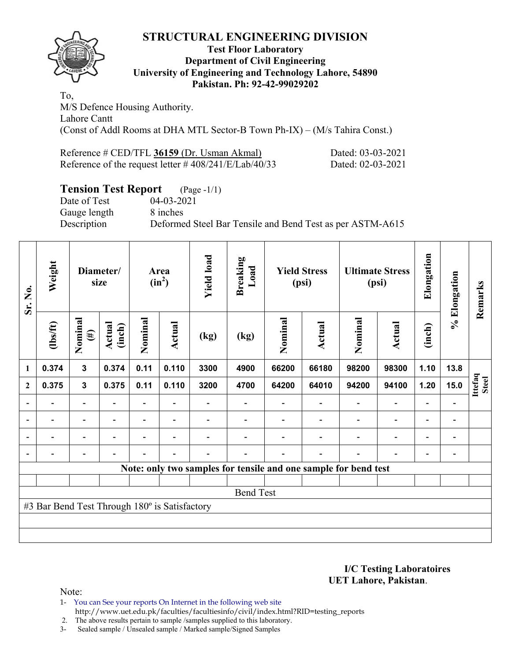

### **Test Floor Laboratory Department of Civil Engineering University of Engineering and Technology Lahore, 54890 Pakistan. Ph: 92-42-99029202**

To, M/S Defence Housing Authority. Lahore Cantt (Const of Addl Rooms at DHA MTL Sector-B Town Ph-IX) – (M/s Tahira Const.)

| Reference # CED/TFL 36159 (Dr. Usman Akmal)              | Dated: 03-03-2021 |
|----------------------------------------------------------|-------------------|
| Reference of the request letter $\# 408/241/E/Lab/40/33$ | Dated: 02-03-2021 |

## **Tension Test Report** (Page -1/1)

Gauge length 8 inches

Date of Test 04-03-2021 Description Deformed Steel Bar Tensile and Bend Test as per ASTM-A615

| Sr. No.          | Weight                                        |                          | Diameter/<br>size        |                          | Area<br>$(in^2)$         | <b>Yield load</b>        | <b>Breaking</b><br>Load |         | <b>Yield Stress</b><br>(psi) |                                                                 | <b>Ultimate Stress</b><br>(psi) | Elongation               | % Elongation             | Remarks          |
|------------------|-----------------------------------------------|--------------------------|--------------------------|--------------------------|--------------------------|--------------------------|-------------------------|---------|------------------------------|-----------------------------------------------------------------|---------------------------------|--------------------------|--------------------------|------------------|
|                  | $\frac{2}{10}$                                | Nominal<br>$(\#)$        | Actual<br>(inch)         | Nominal                  | <b>Actual</b>            | (kg)                     | (kg)                    | Nominal | Actual                       | Nominal                                                         | <b>Actual</b>                   | (inch)                   |                          |                  |
| $\mathbf{1}$     | 0.374                                         | $\mathbf{3}$             | 0.374                    | 0.11                     | 0.110                    | 3300                     | 4900                    | 66200   | 66180                        | 98200                                                           | 98300                           | 1.10                     | 13.8                     |                  |
| $\boldsymbol{2}$ | 0.375                                         | $\mathbf{3}$             | 0.375                    | 0.11                     | 0.110                    | 3200                     | 4700                    | 64200   | 64010                        | 94200                                                           | 94100                           | 1.20                     | 15.0                     | Ittefaq<br>Steel |
| $\overline{a}$   | -                                             | $\overline{\phantom{a}}$ |                          |                          |                          |                          |                         |         |                              | $\blacksquare$                                                  | $\overline{\phantom{a}}$        | $\overline{\phantom{a}}$ |                          |                  |
| $\overline{a}$   | $\overline{\phantom{0}}$                      | $\blacksquare$           | $\overline{\phantom{a}}$ | $\overline{\phantom{0}}$ | $\overline{\phantom{a}}$ |                          |                         |         | $\overline{\phantom{a}}$     | $\blacksquare$                                                  | $\overline{\phantom{a}}$        | $\overline{\phantom{a}}$ | $\overline{\phantom{0}}$ |                  |
|                  | Ξ.                                            | $\overline{\phantom{a}}$ | ۰                        | $\blacksquare$           | $\overline{\phantom{a}}$ |                          |                         |         |                              | ۰                                                               | $\blacksquare$                  | $\overline{\phantom{0}}$ | $\blacksquare$           |                  |
|                  | $\overline{\phantom{0}}$                      | $\overline{\phantom{a}}$ | $\overline{\phantom{0}}$ | $\overline{\phantom{0}}$ | $\overline{\phantom{a}}$ | $\overline{\phantom{0}}$ |                         |         | $\overline{\phantom{0}}$     | $\overline{\phantom{a}}$                                        | $\overline{a}$                  | $\overline{\phantom{a}}$ | $\overline{\phantom{0}}$ |                  |
|                  |                                               |                          |                          |                          |                          |                          |                         |         |                              | Note: only two samples for tensile and one sample for bend test |                                 |                          |                          |                  |
|                  |                                               |                          |                          |                          |                          |                          |                         |         |                              |                                                                 |                                 |                          |                          |                  |
|                  |                                               |                          |                          |                          |                          |                          | <b>Bend Test</b>        |         |                              |                                                                 |                                 |                          |                          |                  |
|                  | #3 Bar Bend Test Through 180° is Satisfactory |                          |                          |                          |                          |                          |                         |         |                              |                                                                 |                                 |                          |                          |                  |
|                  |                                               |                          |                          |                          |                          |                          |                         |         |                              |                                                                 |                                 |                          |                          |                  |
|                  |                                               |                          |                          |                          |                          |                          |                         |         |                              |                                                                 |                                 |                          |                          |                  |

**I/C Testing Laboratoires UET Lahore, Pakistan**.

Note:

1- You can See your reports On Internet in the following web site http://www.uet.edu.pk/faculties/facultiesinfo/civil/index.html?RID=testing\_reports

2. The above results pertain to sample /samples supplied to this laboratory.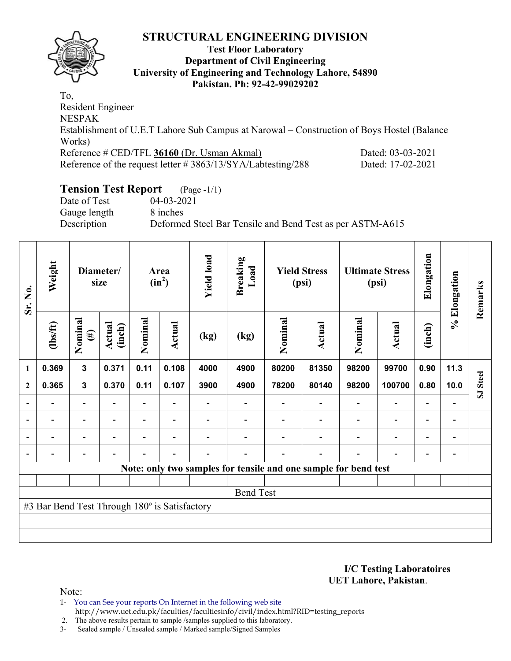

### **Test Floor Laboratory Department of Civil Engineering University of Engineering and Technology Lahore, 54890 Pakistan. Ph: 92-42-99029202**

To, Resident Engineer NESPAK Establishment of U.E.T Lahore Sub Campus at Narowal – Construction of Boys Hostel (Balance Works) Reference # CED/TFL **36160** (Dr. Usman Akmal) Dated: 03-03-2021 Reference of the request letter # 3863/13/SYA/Labtesting/288 Dated: 17-02-2021

# **Tension Test Report** (Page -1/1)

Date of Test 04-03-2021 Gauge length 8 inches

Description Deformed Steel Bar Tensile and Bend Test as per ASTM-A615

| Sr. No.                  | Weight                                        | Diameter/<br>size        |                  |         | Area<br>$(in^2)$ | <b>Yield load</b> | <b>Breaking</b><br>Load |         | <b>Yield Stress</b><br>(psi)                                    |         | <b>Ultimate Stress</b><br>(psi) | Elongation               | % Elongation                 | Remarks                 |
|--------------------------|-----------------------------------------------|--------------------------|------------------|---------|------------------|-------------------|-------------------------|---------|-----------------------------------------------------------------|---------|---------------------------------|--------------------------|------------------------------|-------------------------|
|                          | $\frac{2}{10}$                                | Nominal<br>$(\#)$        | Actual<br>(inch) | Nominal | <b>Actual</b>    | (kg)              | (kg)                    | Nominal | Actual                                                          | Nominal | Actual                          | (inch)                   |                              |                         |
| 1                        | 0.369                                         | $\mathbf{3}$             | 0.371            | 0.11    | 0.108            | 4000              | 4900                    | 80200   | 81350                                                           | 98200   | 99700                           | 0.90                     | 11.3                         |                         |
| $\mathbf{2}$             | 0.365                                         | $\mathbf{3}$             | 0.370            | 0.11    | 0.107            | 3900              | 4900                    | 78200   | 80140                                                           | 98200   | 100700                          | 0.80                     | 10.0                         | <b>Steel</b>            |
|                          |                                               | $\blacksquare$           |                  |         |                  |                   |                         |         |                                                                 |         |                                 |                          |                              | $\overline{\mathbf{s}}$ |
| $\overline{\phantom{0}}$ | $\overline{\phantom{0}}$                      | -                        |                  |         | $\blacksquare$   |                   |                         |         |                                                                 |         | $\overline{\phantom{0}}$        | $\blacksquare$           | $\qquad \qquad \blacksquare$ |                         |
| $\blacksquare$           | $\blacksquare$                                | Ξ.                       |                  |         |                  |                   |                         |         |                                                                 |         | $\overline{\phantom{0}}$        | $\blacksquare$           | $\overline{\phantom{0}}$     |                         |
|                          | -                                             | $\overline{\phantom{0}}$ |                  | -       | ٠                |                   |                         |         |                                                                 |         | $\overline{\phantom{0}}$        | $\overline{\phantom{0}}$ | $\overline{a}$               |                         |
|                          |                                               |                          |                  |         |                  |                   |                         |         | Note: only two samples for tensile and one sample for bend test |         |                                 |                          |                              |                         |
|                          |                                               |                          |                  |         |                  |                   |                         |         |                                                                 |         |                                 |                          |                              |                         |
|                          |                                               |                          |                  |         |                  |                   | <b>Bend Test</b>        |         |                                                                 |         |                                 |                          |                              |                         |
|                          | #3 Bar Bend Test Through 180° is Satisfactory |                          |                  |         |                  |                   |                         |         |                                                                 |         |                                 |                          |                              |                         |
|                          |                                               |                          |                  |         |                  |                   |                         |         |                                                                 |         |                                 |                          |                              |                         |
|                          |                                               |                          |                  |         |                  |                   |                         |         |                                                                 |         |                                 |                          |                              |                         |

**I/C Testing Laboratoires UET Lahore, Pakistan**.

Note:

1- You can See your reports On Internet in the following web site http://www.uet.edu.pk/faculties/facultiesinfo/civil/index.html?RID=testing\_reports

2. The above results pertain to sample /samples supplied to this laboratory.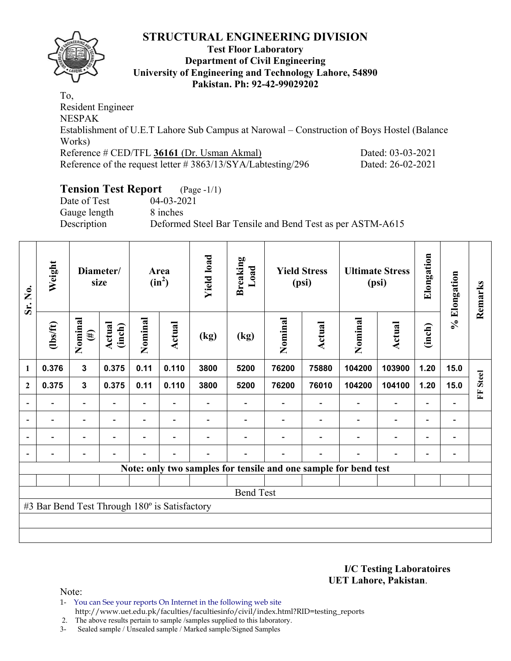

### **Test Floor Laboratory Department of Civil Engineering University of Engineering and Technology Lahore, 54890 Pakistan. Ph: 92-42-99029202**

To, Resident Engineer NESPAK Establishment of U.E.T Lahore Sub Campus at Narowal – Construction of Boys Hostel (Balance Works) Reference # CED/TFL **36161** (Dr. Usman Akmal) Dated: 03-03-2021 Reference of the request letter # 3863/13/SYA/Labtesting/296 Dated: 26-02-2021

# **Tension Test Report** (Page -1/1)

Date of Test 04-03-2021 Gauge length 8 inches

Description Deformed Steel Bar Tensile and Bend Test as per ASTM-A615

| Sr. No.                  | Weight                                        | Diameter/<br>size        |                          |                          | Area<br>$(in^2)$         | <b>Yield load</b> | <b>Breaking</b><br>Load |         | <b>Yield Stress</b><br>(psi) |                                                                 | <b>Ultimate Stress</b><br>(psi) | Elongation               | % Elongation                 | Remarks      |
|--------------------------|-----------------------------------------------|--------------------------|--------------------------|--------------------------|--------------------------|-------------------|-------------------------|---------|------------------------------|-----------------------------------------------------------------|---------------------------------|--------------------------|------------------------------|--------------|
|                          | $\frac{2}{10}$                                | Nominal<br>$(\#)$        | Actual<br>(inch)         | Nominal                  | <b>Actual</b>            | (kg)              | (kg)                    | Nominal | Actual                       | Nominal                                                         | <b>Actual</b>                   | (inch)                   |                              |              |
| $\mathbf{1}$             | 0.376                                         | 3                        | 0.375                    | 0.11                     | 0.110                    | 3800              | 5200                    | 76200   | 75880                        | 104200                                                          | 103900                          | 1.20                     | 15.0                         |              |
| $\mathbf{2}$             | 0.375                                         | $\mathbf{3}$             | 0.375                    | 0.11                     | 0.110                    | 3800              | 5200                    | 76200   | 76010                        | 104200                                                          | 104100                          | 1.20                     | 15.0                         | <b>Steel</b> |
|                          |                                               | $\overline{\phantom{0}}$ |                          |                          |                          |                   |                         |         |                              |                                                                 |                                 |                          |                              | E            |
| $\overline{\phantom{0}}$ | $\overline{\phantom{a}}$                      | $\overline{\phantom{0}}$ | $\blacksquare$           | $\blacksquare$           | $\overline{\phantom{a}}$ |                   |                         |         |                              |                                                                 | $\blacksquare$                  | $\blacksquare$           | $\qquad \qquad \blacksquare$ |              |
|                          | $\overline{a}$                                | $\overline{\phantom{0}}$ |                          | -                        | ۰                        |                   |                         |         |                              |                                                                 | $\overline{\phantom{0}}$        | $\overline{\phantom{0}}$ | $\qquad \qquad \blacksquare$ |              |
|                          |                                               | $\overline{\phantom{0}}$ | $\overline{\phantom{0}}$ | $\overline{\phantom{0}}$ | $\blacksquare$           |                   |                         |         |                              |                                                                 | $\overline{\phantom{a}}$        | $\overline{\phantom{0}}$ |                              |              |
|                          |                                               |                          |                          |                          |                          |                   |                         |         |                              | Note: only two samples for tensile and one sample for bend test |                                 |                          |                              |              |
|                          |                                               |                          |                          |                          |                          |                   |                         |         |                              |                                                                 |                                 |                          |                              |              |
|                          |                                               |                          |                          |                          |                          |                   | <b>Bend Test</b>        |         |                              |                                                                 |                                 |                          |                              |              |
|                          | #3 Bar Bend Test Through 180° is Satisfactory |                          |                          |                          |                          |                   |                         |         |                              |                                                                 |                                 |                          |                              |              |
|                          |                                               |                          |                          |                          |                          |                   |                         |         |                              |                                                                 |                                 |                          |                              |              |
|                          |                                               |                          |                          |                          |                          |                   |                         |         |                              |                                                                 |                                 |                          |                              |              |

**I/C Testing Laboratoires UET Lahore, Pakistan**.

Note:

1- You can See your reports On Internet in the following web site http://www.uet.edu.pk/faculties/facultiesinfo/civil/index.html?RID=testing\_reports

2. The above results pertain to sample /samples supplied to this laboratory.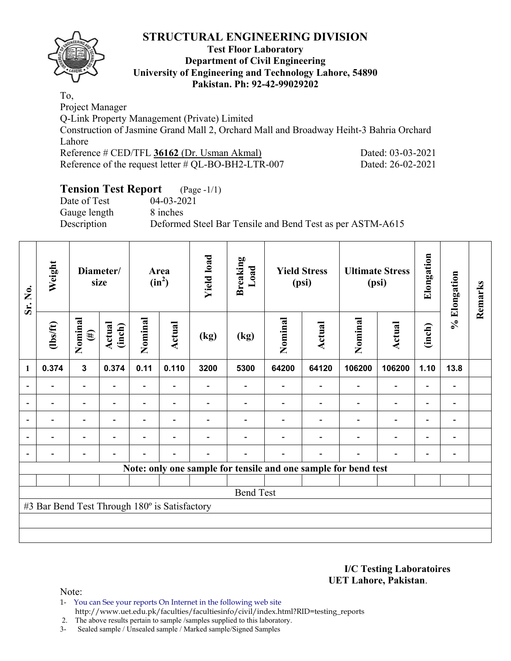

### **Test Floor Laboratory Department of Civil Engineering University of Engineering and Technology Lahore, 54890 Pakistan. Ph: 92-42-99029202**

To, Project Manager

Q-Link Property Management (Private) Limited Construction of Jasmine Grand Mall 2, Orchard Mall and Broadway Heiht-3 Bahria Orchard Lahore Reference # CED/TFL **36162** (Dr. Usman Akmal) Dated: 03-03-2021

Reference of the request letter # QL-BO-BH2-LTR-007 Dated: 26-02-2021

# **Tension Test Report** (Page -1/1)

Date of Test 04-03-2021 Gauge length 8 inches

Description Deformed Steel Bar Tensile and Bend Test as per ASTM-A615

| Sr. No.        | Weight                                        | Diameter/<br>size        |                  |                | Area<br>$(in^2)$         | <b>Yield load</b> | <b>Breaking</b><br>Load |         | <b>Yield Stress</b><br>(psi) |                                                                | <b>Ultimate Stress</b><br>(psi) | Elongation               | % Elongation                 | Remarks |
|----------------|-----------------------------------------------|--------------------------|------------------|----------------|--------------------------|-------------------|-------------------------|---------|------------------------------|----------------------------------------------------------------|---------------------------------|--------------------------|------------------------------|---------|
|                | $\frac{2}{10}$                                | Nominal<br>$(\#)$        | Actual<br>(inch) | Nominal        | <b>Actual</b>            | (kg)              | (kg)                    | Nominal | Actual                       | Nominal                                                        | Actual                          | (inch)                   |                              |         |
| $\mathbf{1}$   | 0.374                                         | $\overline{\mathbf{3}}$  | 0.374            | 0.11           | 0.110                    | 3200              | 5300                    | 64200   | 64120                        | 106200                                                         | 106200                          | 1.10                     | 13.8                         |         |
|                |                                               | $\blacksquare$           | Ē,               | -              | $\overline{a}$           |                   |                         |         |                              | $\qquad \qquad \blacksquare$                                   | $\overline{a}$                  | $\overline{a}$           |                              |         |
|                |                                               | $\overline{\phantom{0}}$ |                  | $\blacksquare$ |                          |                   |                         |         |                              |                                                                | $\overline{\phantom{0}}$        | $\blacksquare$           |                              |         |
| $\overline{a}$ | -                                             | $\overline{\phantom{0}}$ |                  |                | $\overline{\phantom{a}}$ |                   |                         |         |                              |                                                                | $\overline{\phantom{0}}$        | $\overline{\phantom{0}}$ | $\qquad \qquad \blacksquare$ |         |
| $\blacksquare$ | Ξ.                                            | $\overline{\phantom{a}}$ | $\blacksquare$   | ۳              | $\overline{\phantom{a}}$ |                   |                         |         |                              | $\blacksquare$                                                 | $\overline{\phantom{a}}$        | $\overline{\phantom{0}}$ | $\blacksquare$               |         |
|                |                                               | $\overline{\phantom{0}}$ |                  |                | $\blacksquare$           |                   |                         |         | $\overline{a}$               | $\blacksquare$                                                 | $\blacksquare$                  | $\overline{\phantom{a}}$ | $\overline{\phantom{0}}$     |         |
|                |                                               |                          |                  |                |                          |                   |                         |         |                              | Note: only one sample for tensile and one sample for bend test |                                 |                          |                              |         |
|                |                                               |                          |                  |                |                          |                   |                         |         |                              |                                                                |                                 |                          |                              |         |
|                |                                               |                          |                  |                |                          |                   | <b>Bend Test</b>        |         |                              |                                                                |                                 |                          |                              |         |
|                | #3 Bar Bend Test Through 180° is Satisfactory |                          |                  |                |                          |                   |                         |         |                              |                                                                |                                 |                          |                              |         |
|                |                                               |                          |                  |                |                          |                   |                         |         |                              |                                                                |                                 |                          |                              |         |
|                |                                               |                          |                  |                |                          |                   |                         |         |                              |                                                                |                                 |                          |                              |         |

**I/C Testing Laboratoires UET Lahore, Pakistan**.

Note:

1- You can See your reports On Internet in the following web site http://www.uet.edu.pk/faculties/facultiesinfo/civil/index.html?RID=testing\_reports

2. The above results pertain to sample /samples supplied to this laboratory.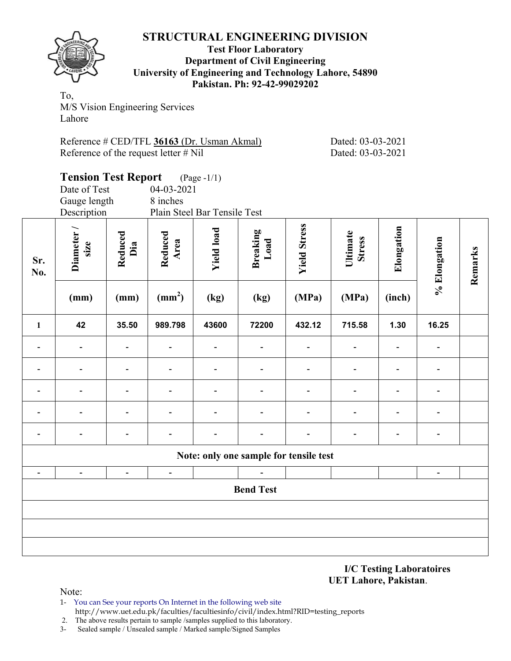

### **Test Floor Laboratory Department of Civil Engineering University of Engineering and Technology Lahore, 54890 Pakistan. Ph: 92-42-99029202**

To, M/S Vision Engineering Services Lahore

| Reference # CED/TFL 36163 (Dr. Usman Akmal) |  |  |
|---------------------------------------------|--|--|
| Reference of the request letter $\#$ Nil    |  |  |

Dated: 03-03-2021 Dated: 03-03-2021

|                | <b>Tension Test Report</b> |                          |                              | $(Page - 1/1)$    |                                        |                     |                           |                          |                          |         |
|----------------|----------------------------|--------------------------|------------------------------|-------------------|----------------------------------------|---------------------|---------------------------|--------------------------|--------------------------|---------|
|                | Date of Test               |                          | 04-03-2021                   |                   |                                        |                     |                           |                          |                          |         |
|                | Gauge length               |                          | 8 inches                     |                   |                                        |                     |                           |                          |                          |         |
|                | Description                |                          | Plain Steel Bar Tensile Test |                   |                                        |                     |                           |                          |                          |         |
| Sr.<br>No.     | Diameter/<br>size          | Reduced<br>Dia           | Reduced<br>Area              | <b>Yield load</b> | <b>Breaking</b><br>Load                | <b>Yield Stress</b> | Ultimate<br><b>Stress</b> | Elongation               | % Elongation             | Remarks |
|                | (mm)                       | (mm)                     | (mm <sup>2</sup> )           | (kg)              | (kg)                                   | (MPa)               | (MPa)                     | (inch)                   |                          |         |
| $\mathbf{1}$   | 42                         | 35.50                    | 989.798                      | 43600             | 72200                                  | 432.12              | 715.58                    | 1.30                     | 16.25                    |         |
| $\blacksquare$ | $\overline{\phantom{a}}$   |                          | $\overline{\phantom{0}}$     | $\blacksquare$    |                                        |                     | $\overline{\phantom{a}}$  | $\overline{\phantom{a}}$ | $\overline{\phantom{a}}$ |         |
|                |                            |                          | $\qquad \qquad \blacksquare$ | $\blacksquare$    |                                        |                     | $\blacksquare$            | $\blacksquare$           |                          |         |
|                |                            |                          |                              |                   |                                        |                     |                           |                          |                          |         |
|                |                            |                          |                              |                   |                                        |                     |                           |                          |                          |         |
|                |                            |                          |                              |                   |                                        |                     | $\overline{\phantom{a}}$  | $\overline{\phantom{a}}$ |                          |         |
|                |                            |                          |                              |                   | Note: only one sample for tensile test |                     |                           |                          |                          |         |
|                |                            | $\overline{\phantom{0}}$ | $\overline{\phantom{a}}$     |                   |                                        |                     |                           |                          |                          |         |
|                |                            |                          |                              |                   | <b>Bend Test</b>                       |                     |                           |                          |                          |         |
|                |                            |                          |                              |                   |                                        |                     |                           |                          |                          |         |
|                |                            |                          |                              |                   |                                        |                     |                           |                          |                          |         |
|                |                            |                          |                              |                   |                                        |                     |                           |                          |                          |         |

**I/C Testing Laboratoires UET Lahore, Pakistan**.

Note:

1- You can See your reports On Internet in the following web site http://www.uet.edu.pk/faculties/facultiesinfo/civil/index.html?RID=testing\_reports

2. The above results pertain to sample /samples supplied to this laboratory.<br>3- Sealed sample / Unsealed sample / Marked sample/Signed Samples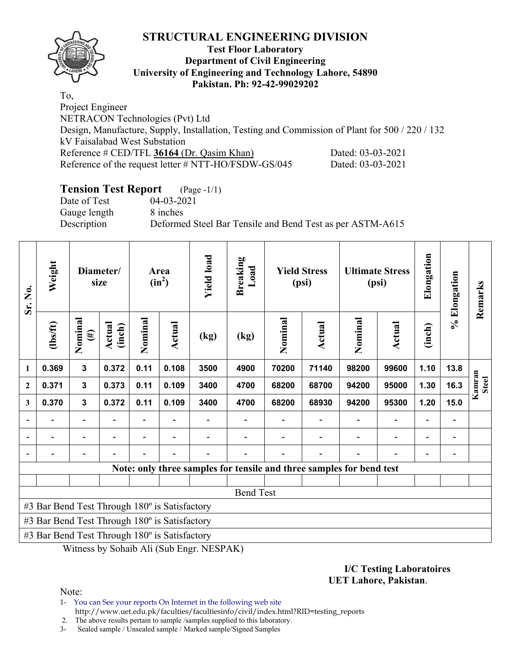

### **Test Floor Laboratory Department of Civil Engineering University of Engineering and Technology Lahore, 54890 Pakistan. Ph: 92-42-99029202**

To, Project Engineer NETRACON Technologies (Pvt) Ltd Design, Manufacture, Supply, Installation, Testing and Commission of Plant for 500 / 220 / 132 kV Faisalabad West Substation Reference # CED/TFL **36164** (Dr. Qasim Khan) Dated: 03-03-2021 Reference of the request letter # NTT-HO/FSDW-GS/045 Dated: 03-03-2021

# **Tension Test Report** (Page -1/1)

Date of Test 04-03-2021 Gauge length 8 inches

Description Deformed Steel Bar Tensile and Bend Test as per ASTM-A615

| Sr. No.      | Weight                                        |                          | Diameter/<br>size |         | Area<br>$(in^2)$ | <b>Yield load</b> | <b>Breaking</b><br>Load |         | <b>Yield Stress</b><br>(psi)                                         |         | <b>Ultimate Stress</b><br>(psi) | Elongation | % Elongation | Remarks                |
|--------------|-----------------------------------------------|--------------------------|-------------------|---------|------------------|-------------------|-------------------------|---------|----------------------------------------------------------------------|---------|---------------------------------|------------|--------------|------------------------|
|              | $\frac{2}{10}$                                | Nominal<br>$(\#)$        | Actual<br>(inch)  | Nominal | Actual           | (kg)              | (kg)                    | Nominal | Actual                                                               | Nominal | <b>Actual</b>                   | (inch)     |              |                        |
| 1            | 0.369                                         | $\mathbf{3}$             | 0.372             | 0.11    | 0.108            | 3500              | 4900                    | 70200   | 71140                                                                | 98200   | 99600                           | 1.10       | 13.8         |                        |
| $\mathbf{2}$ | 0.371                                         | $\mathbf{3}$             | 0.373             | 0.11    | 0.109            | 3400              | 4700                    | 68200   | 68700                                                                | 94200   | 95000                           | 1.30       | 16.3         | Kamran<br><b>Steel</b> |
| 3            | 0.370                                         | $\mathbf{3}$             | 0.372             | 0.11    | 0.109            | 3400              | 4700                    | 68200   | 68930                                                                | 94200   | 95300                           | 1.20       | 15.0         |                        |
|              |                                               | $\overline{\phantom{0}}$ |                   |         |                  |                   |                         |         |                                                                      |         |                                 |            |              |                        |
|              |                                               |                          |                   |         |                  |                   |                         |         |                                                                      |         |                                 |            |              |                        |
|              |                                               |                          |                   |         |                  |                   |                         |         |                                                                      |         |                                 |            |              |                        |
|              |                                               |                          |                   |         |                  |                   |                         |         | Note: only three samples for tensile and three samples for bend test |         |                                 |            |              |                        |
|              |                                               |                          |                   |         |                  |                   |                         |         |                                                                      |         |                                 |            |              |                        |
|              |                                               |                          |                   |         |                  |                   | <b>Bend Test</b>        |         |                                                                      |         |                                 |            |              |                        |
|              | #3 Bar Bend Test Through 180° is Satisfactory |                          |                   |         |                  |                   |                         |         |                                                                      |         |                                 |            |              |                        |
|              | #3 Bar Bend Test Through 180° is Satisfactory |                          |                   |         |                  |                   |                         |         |                                                                      |         |                                 |            |              |                        |
|              | #3 Bar Bend Test Through 180° is Satisfactory |                          |                   |         |                  |                   |                         |         |                                                                      |         |                                 |            |              |                        |

Witness by Sohaib Ali (Sub Engr. NESPAK)

#### **I/C Testing Laboratoires UET Lahore, Pakistan**.

Note:

1- You can See your reports On Internet in the following web site http://www.uet.edu.pk/faculties/facultiesinfo/civil/index.html?RID=testing\_reports

2. The above results pertain to sample /samples supplied to this laboratory.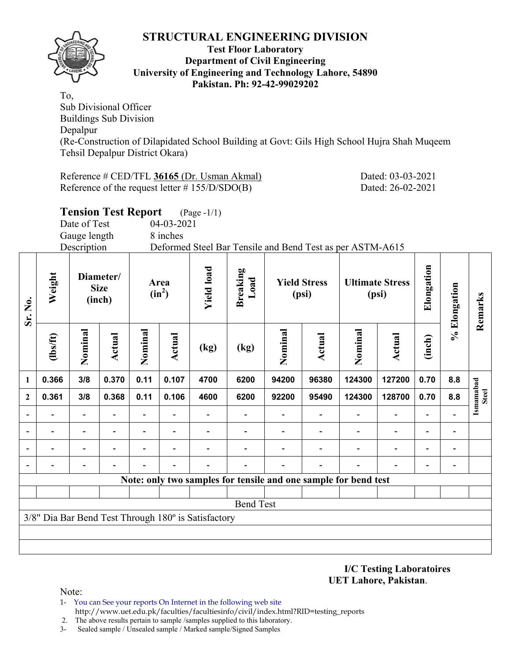

**Sr. No.** 

### **Test Floor Laboratory Department of Civil Engineering University of Engineering and Technology Lahore, 54890 Pakistan. Ph: 92-42-99029202**

To, Sub Divisional Officer Buildings Sub Division Depalpur (Re-Construction of Dilapidated School Building at Govt: Gils High School Hujra Shah Muqeem Tehsil Depalpur District Okara)

Reference # CED/TFL 36165 (Dr. Usman Akmal) Dated: 03-03-2021 Reference of the request letter # 155/D/SDO(B) Dated: 26-02-2021

|                          |                |                | <b>Tension Test Report</b>         |         |                  | $(Page - 1/1)$                                      |                         |         |                              |                                                                 |        |                |                              |                           |
|--------------------------|----------------|----------------|------------------------------------|---------|------------------|-----------------------------------------------------|-------------------------|---------|------------------------------|-----------------------------------------------------------------|--------|----------------|------------------------------|---------------------------|
|                          |                | Date of Test   |                                    |         | 04-03-2021       |                                                     |                         |         |                              |                                                                 |        |                |                              |                           |
|                          |                | Gauge length   |                                    |         | 8 inches         |                                                     |                         |         |                              |                                                                 |        |                |                              |                           |
|                          |                | Description    |                                    |         |                  |                                                     |                         |         |                              | Deformed Steel Bar Tensile and Bend Test as per ASTM-A615       |        |                |                              |                           |
| Sr. No.                  | Weight         |                | Diameter/<br><b>Size</b><br>(inch) |         | Area<br>$(in^2)$ | <b>Yield load</b>                                   | <b>Breaking</b><br>Load |         | <b>Yield Stress</b><br>(psi) | <b>Ultimate Stress</b><br>(psi)                                 |        | Elongation     | % Elongation                 | Remarks                   |
|                          | $\frac{2}{10}$ | Nominal        | Actual                             | Nominal | <b>Actual</b>    | (kg)                                                | (kg)                    | Nominal | Actual                       | Nominal                                                         | Actual | (inch)         |                              |                           |
| $\mathbf{1}$             | 0.366          | 3/8            | 0.370                              | 0.11    | 0.107            | 4700                                                | 6200                    | 94200   | 96380                        | 124300                                                          | 127200 | 0.70           | 8.8                          |                           |
| $\mathbf 2$              | 0.361          | 3/8            | 0.368                              | 0.11    | 0.106            | 4600                                                | 6200                    | 92200   | 95490                        | 124300                                                          | 128700 | 0.70           | 8.8                          | Ismamabad<br><b>Steel</b> |
| $\overline{\phantom{a}}$ |                |                |                                    |         |                  |                                                     |                         |         |                              |                                                                 |        |                |                              |                           |
| $\overline{\phantom{a}}$ |                |                |                                    |         |                  |                                                     |                         |         |                              |                                                                 |        | $\blacksquare$ | $\blacksquare$               |                           |
| $\overline{\phantom{a}}$ |                |                |                                    |         |                  |                                                     |                         |         |                              |                                                                 |        | ۰              |                              |                           |
| $\overline{\phantom{a}}$ |                | $\blacksquare$ |                                    |         |                  |                                                     |                         |         |                              |                                                                 |        | $\blacksquare$ | $\qquad \qquad \blacksquare$ |                           |
|                          |                |                |                                    |         |                  |                                                     |                         |         |                              | Note: only two samples for tensile and one sample for bend test |        |                |                              |                           |
|                          |                |                |                                    |         |                  |                                                     |                         |         |                              |                                                                 |        |                |                              |                           |
|                          |                |                |                                    |         |                  |                                                     | <b>Bend Test</b>        |         |                              |                                                                 |        |                |                              |                           |
|                          |                |                |                                    |         |                  | 3/8" Dia Bar Bend Test Through 180° is Satisfactory |                         |         |                              |                                                                 |        |                |                              |                           |

**I/C Testing Laboratoires UET Lahore, Pakistan**.

Note:

- 1- You can See your reports On Internet in the following web site http://www.uet.edu.pk/faculties/facultiesinfo/civil/index.html?RID=testing\_reports
- 2. The above results pertain to sample /samples supplied to this laboratory.
- 3- Sealed sample / Unsealed sample / Marked sample/Signed Samples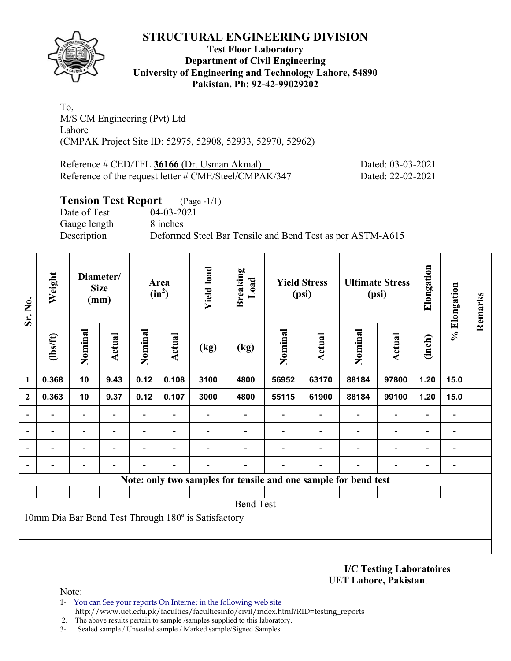

### **Test Floor Laboratory Department of Civil Engineering University of Engineering and Technology Lahore, 54890 Pakistan. Ph: 92-42-99029202**

To, M/S CM Engineering (Pvt) Ltd Lahore (CMPAK Project Site ID: 52975, 52908, 52933, 52970, 52962)

Reference # CED/TFL **36166** (Dr. Usman Akmal) Dated: 03-03-2021 Reference of the request letter # CME/Steel/CMPAK/347 Dated: 22-02-2021

## **Tension Test Report** (Page -1/1)

Date of Test 04-03-2021 Gauge length 8 inches

Description Deformed Steel Bar Tensile and Bend Test as per ASTM-A615

| Sr. No.                                                         | Weight                   | Diameter/<br><b>Size</b><br>(mm) |                | Area<br>$(in^2)$ |                          | <b>Yield load</b> | <b>Breaking</b><br>Load | <b>Yield Stress</b><br>(psi) |        | <b>Ultimate Stress</b><br>(psi) |                          | Elongation               | % Elongation                 | Remarks |
|-----------------------------------------------------------------|--------------------------|----------------------------------|----------------|------------------|--------------------------|-------------------|-------------------------|------------------------------|--------|---------------------------------|--------------------------|--------------------------|------------------------------|---------|
|                                                                 | (1bs/ft)                 | Nominal                          | Actual         | Nominal          | <b>Actual</b>            | (kg)              | (kg)                    | Nominal                      | Actual | Nominal                         | Actual                   | (inch)                   |                              |         |
| 1                                                               | 0.368                    | 10                               | 9.43           | 0.12             | 0.108                    | 3100              | 4800                    | 56952                        | 63170  | 88184                           | 97800                    | 1.20                     | 15.0                         |         |
| $\mathbf{2}$                                                    | 0.363                    | 10                               | 9.37           | 0.12             | 0.107                    | 3000              | 4800                    | 55115                        | 61900  | 88184                           | 99100                    | 1.20                     | 15.0                         |         |
|                                                                 |                          | -                                |                |                  |                          |                   |                         |                              |        |                                 |                          |                          | -                            |         |
| $\overline{a}$                                                  |                          | $\overline{\phantom{0}}$         |                |                  | $\overline{\phantom{0}}$ |                   |                         |                              |        |                                 |                          |                          | $\qquad \qquad \blacksquare$ |         |
| $\blacksquare$                                                  | $\overline{\phantom{a}}$ | -                                | $\blacksquare$ | $\blacksquare$   | ۰                        |                   |                         |                              |        |                                 | $\overline{\phantom{a}}$ | $\blacksquare$           | $\overline{\phantom{a}}$     |         |
| $\blacksquare$                                                  | -                        | -                                |                |                  |                          |                   |                         |                              |        |                                 | $\overline{\phantom{0}}$ | $\overline{\phantom{0}}$ | -                            |         |
| Note: only two samples for tensile and one sample for bend test |                          |                                  |                |                  |                          |                   |                         |                              |        |                                 |                          |                          |                              |         |
|                                                                 |                          |                                  |                |                  |                          |                   |                         |                              |        |                                 |                          |                          |                              |         |
| <b>Bend Test</b>                                                |                          |                                  |                |                  |                          |                   |                         |                              |        |                                 |                          |                          |                              |         |
| 10mm Dia Bar Bend Test Through 180° is Satisfactory             |                          |                                  |                |                  |                          |                   |                         |                              |        |                                 |                          |                          |                              |         |
|                                                                 |                          |                                  |                |                  |                          |                   |                         |                              |        |                                 |                          |                          |                              |         |
|                                                                 |                          |                                  |                |                  |                          |                   |                         |                              |        |                                 |                          |                          |                              |         |

**I/C Testing Laboratoires UET Lahore, Pakistan**.

Note:

- 1- You can See your reports On Internet in the following web site http://www.uet.edu.pk/faculties/facultiesinfo/civil/index.html?RID=testing\_reports
- 2. The above results pertain to sample /samples supplied to this laboratory.
- 3- Sealed sample / Unsealed sample / Marked sample/Signed Samples